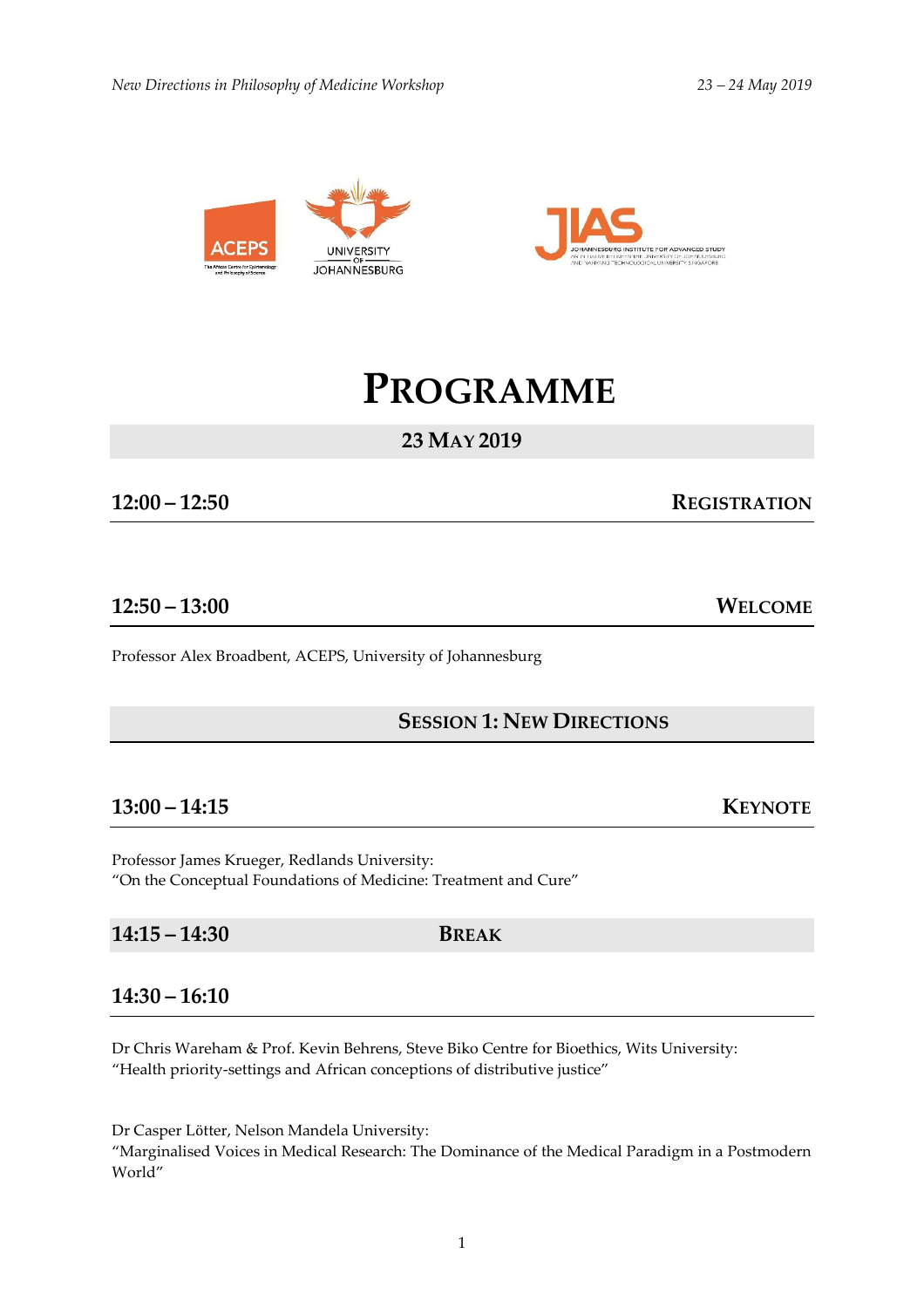



# **PROGRAMME**

## **23 MAY 2019**

### **12:00 – 12:50 REGISTRATION**

### **12:50 – 13:00 WELCOME**

Professor Alex Broadbent, ACEPS, University of Johannesburg

#### **SESSION 1: NEW DIRECTIONS**

#### **13:00 – 14:15 KEYNOTE**

Professor James Krueger, Redlands University: "On the Conceptual Foundations of Medicine: Treatment and Cure"

**14:15 – 14:30 BREAK**

#### **14:30 – 16:10**

Dr Chris Wareham & Prof. Kevin Behrens, Steve Biko Centre for Bioethics, Wits University: "Health priority-settings and African conceptions of distributive justice"

Dr Casper Lӧtter, Nelson Mandela University:

"Marginalised Voices in Medical Research: The Dominance of the Medical Paradigm in a Postmodern World"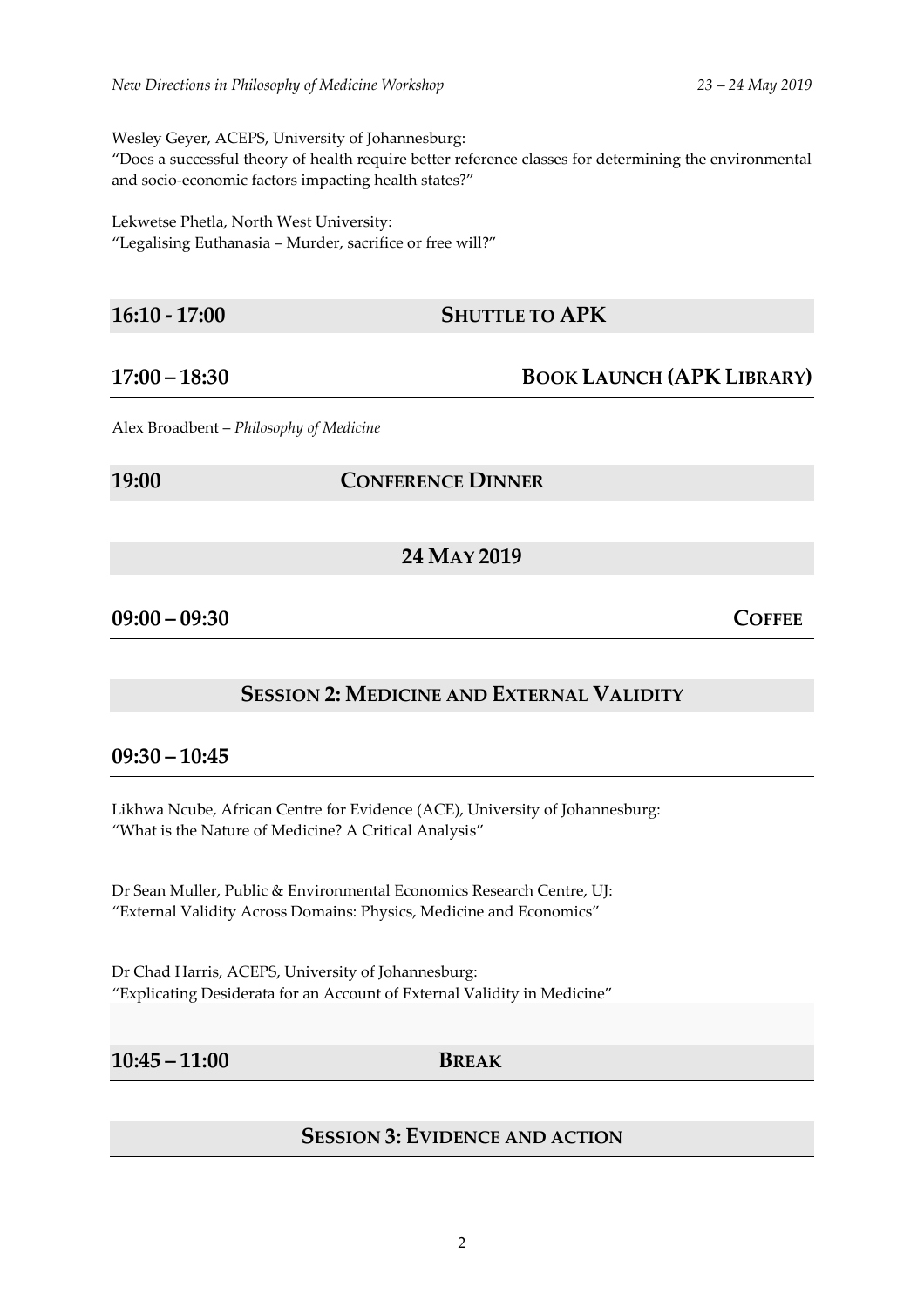Wesley Geyer, ACEPS, University of Johannesburg:

"Does a successful theory of health require better reference classes for determining the environmental and socio-economic factors impacting health states?"

Lekwetse Phetla, North West University:

"Legalising Euthanasia – Murder, sacrifice or free will?"

#### **16:10 - 17:00 SHUTTLE TO APK**

**17:00 – 18:30 BOOK LAUNCH (APK LIBRARY)**

Alex Broadbent – *Philosophy of Medicine*

**19:00 CONFERENCE DINNER**

**24 MAY 2019**

**09:00 – 09:30 COFFEE**

#### **SESSION 2: MEDICINE AND EXTERNAL VALIDITY**

### **09:30 – 10:45**

Likhwa Ncube, African Centre for Evidence (ACE), University of Johannesburg: "What is the Nature of Medicine? A Critical Analysis"

Dr Sean Muller, Public & Environmental Economics Research Centre, UJ: "External Validity Across Domains: Physics, Medicine and Economics"

Dr Chad Harris, ACEPS, University of Johannesburg: "Explicating Desiderata for an Account of External Validity in Medicine"

#### **10:45 – 11:00 BREAK**

#### **SESSION 3: EVIDENCE AND ACTION**